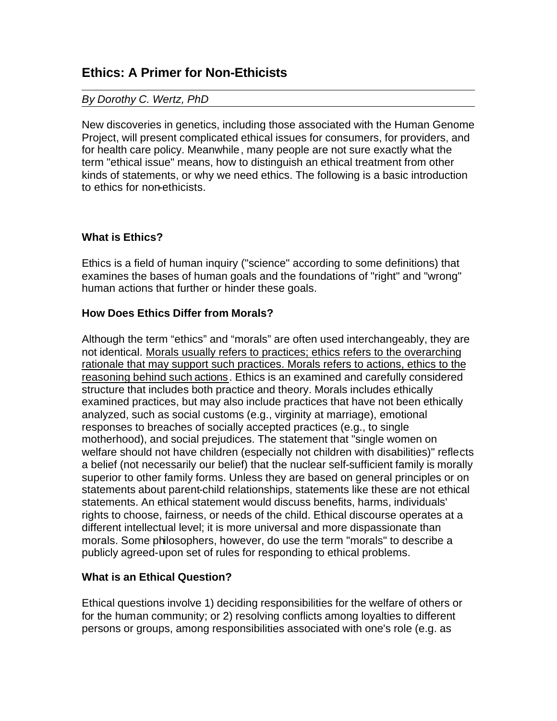# **Ethics: A Primer for Non-Ethicists**

## *By Dorothy C. Wertz, PhD*

New discoveries in genetics, including those associated with the Human Genome Project, will present complicated ethical issues for consumers, for providers, and for health care policy. Meanwhile, many people are not sure exactly what the term "ethical issue" means, how to distinguish an ethical treatment from other kinds of statements, or why we need ethics. The following is a basic introduction to ethics for non-ethicists.

# **What is Ethics?**

Ethics is a field of human inquiry ("science" according to some definitions) that examines the bases of human goals and the foundations of "right" and "wrong" human actions that further or hinder these goals.

## **How Does Ethics Differ from Morals?**

Although the term "ethics" and "morals" are often used interchangeably, they are not identical. Morals usually refers to practices; ethics refers to the overarching rationale that may support such practices. Morals refers to actions, ethics to the reasoning behind such actions. Ethics is an examined and carefully considered structure that includes both practice and theory. Morals includes ethically examined practices, but may also include practices that have not been ethically analyzed, such as social customs (e.g., virginity at marriage), emotional responses to breaches of socially accepted practices (e.g., to single motherhood), and social prejudices. The statement that "single women on welfare should not have children (especially not children with disabilities)" reflects a belief (not necessarily our belief) that the nuclear self-sufficient family is morally superior to other family forms. Unless they are based on general principles or on statements about parent-child relationships, statements like these are not ethical statements. An ethical statement would discuss benefits, harms, individuals' rights to choose, fairness, or needs of the child. Ethical discourse operates at a different intellectual level; it is more universal and more dispassionate than morals. Some philosophers, however, do use the term "morals" to describe a publicly agreed-upon set of rules for responding to ethical problems.

## **What is an Ethical Question?**

Ethical questions involve 1) deciding responsibilities for the welfare of others or for the human community; or 2) resolving conflicts among loyalties to different persons or groups, among responsibilities associated with one's role (e.g. as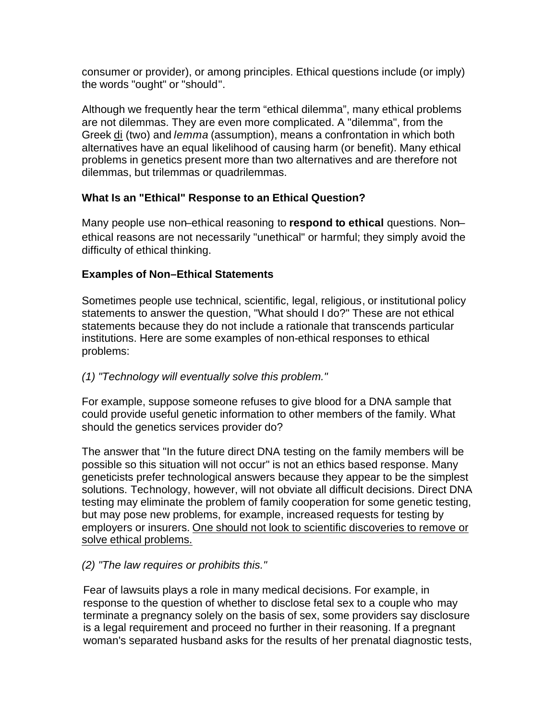consumer or provider), or among principles. Ethical questions include (or imply) the words "ought" or "should".

Although we frequently hear the term "ethical dilemma", many ethical problems are not dilemmas. They are even more complicated. A "dilemma", from the Greek di (two) and *lemma* (assumption), means a confrontation in which both alternatives have an equal likelihood of causing harm (or benefit). Many ethical problems in genetics present more than two alternatives and are therefore not dilemmas, but trilemmas or quadrilemmas.

# **What Is an "Ethical" Response to an Ethical Question?**

Many people use non–ethical reasoning to **respond to ethical** questions. Non– ethical reasons are not necessarily "unethical" or harmful; they simply avoid the difficulty of ethical thinking.

# **Examples of Non–Ethical Statements**

Sometimes people use technical, scientific, legal, religious, or institutional policy statements to answer the question, "What should I do?" These are not ethical statements because they do not include a rationale that transcends particular institutions. Here are some examples of non-ethical responses to ethical problems:

# *(1) "Technology will eventually solve this problem."*

For example, suppose someone refuses to give blood for a DNA sample that could provide useful genetic information to other members of the family. What should the genetics services provider do?

The answer that "In the future direct DNA testing on the family members will be possible so this situation will not occur" is not an ethics based response. Many geneticists prefer technological answers because they appear to be the simplest solutions. Technology, however, will not obviate all difficult decisions. Direct DNA testing may eliminate the problem of family cooperation for some genetic testing, but may pose new problems, for example, increased requests for testing by employers or insurers. One should not look to scientific discoveries to remove or solve ethical problems.

# *(2) "The law requires or prohibits this."*

Fear of lawsuits plays a role in many medical decisions. For example, in response to the question of whether to disclose fetal sex to a couple who may terminate a pregnancy solely on the basis of sex, some providers say disclosure is a legal requirement and proceed no further in their reasoning. If a pregnant woman's separated husband asks for the results of her prenatal diagnostic tests,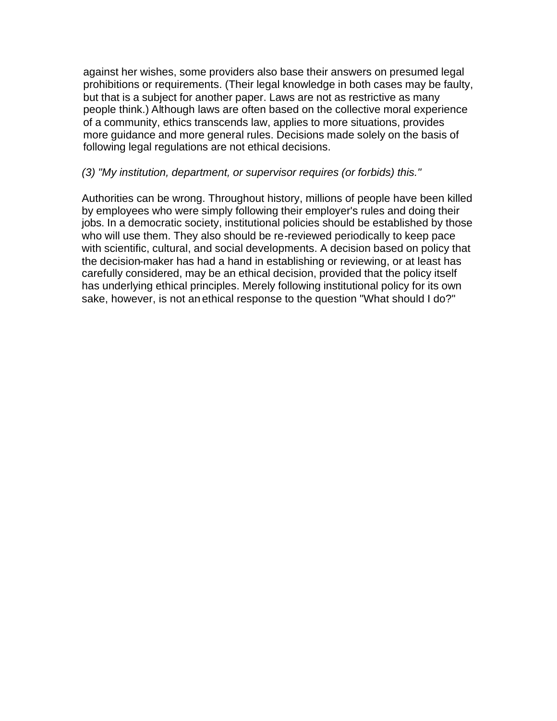against her wishes, some providers also base their answers on presumed legal prohibitions or requirements. (Their legal knowledge in both cases may be faulty, but that is a subject for another paper. Laws are not as restrictive as many people think.) Although laws are often based on the collective moral experience of a community, ethics transcends law, applies to more situations, provides more guidance and more general rules. Decisions made solely on the basis of following legal regulations are not ethical decisions.

## *(3) "My institution, department, or supervisor requires (or forbids) this."*

Authorities can be wrong. Throughout history, millions of people have been killed by employees who were simply following their employer's rules and doing their jobs. In a democratic society, institutional policies should be established by those who will use them. They also should be re-reviewed periodically to keep pace with scientific, cultural, and social developments. A decision based on policy that the decision-maker has had a hand in establishing or reviewing, or at least has carefully considered, may be an ethical decision, provided that the policy itself has underlying ethical principles. Merely following institutional policy for its own sake, however, is not an ethical response to the question "What should I do?"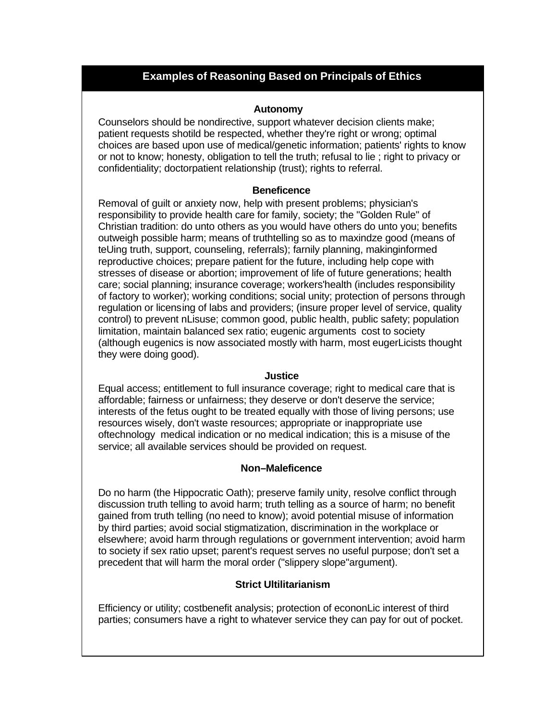# **Examples of Reasoning 'Based On Principals of Ethics Examples of Reasoning Based on Principals of Ethics**

#### **Autonomy**

Counselors should be nondirective, support whatever decision clients make; patient requests shotild be respected, whether they're right or wrong; optimal choices are based upon use of medical/genetic information; patients' rights to know or not to know; honesty, obligation to tell the truth; refusal to lie ; right to privacy or confidentiality; doctorpatient relationship (trust); rights to referral.

#### **Beneficence**

Removal of guilt or anxiety now, help with present problems; physician's responsibility to provide health care for family, society; the "Golden Rule" of Christian tradition: do unto others as you would have others do unto you; benefits outweigh possible harm; means of truthtelling so as to maxindze good (means of teUing truth, support, counseling, referrals); farnily planning, makinginformed reproductive choices; prepare patient for the future, including help cope with stresses of disease or abortion; improvement of life of future generations; health care; social planning; insurance coverage; workers'health (includes responsibility of factory to worker); working conditions; social unity; protection of persons through regulation or licensing of labs and providers; (insure proper level of service, quality control) to prevent nLisuse; common good, public health, public safety; population limitation, maintain balanced sex ratio; eugenic arguments cost to society (although eugenics is now associated mostly with harm, most eugerLicists thought they were doing good).

#### **Justice**

Equal access; entitlement to full insurance coverage; right to medical care that is affordable; fairness or unfairness; they deserve or don't deserve the service; interests of the fetus ought to be treated equally with those of living persons; use resources wisely, don't waste resources; appropriate or inappropriate use oftechnology medical indication or no medical indication; this is a misuse of the service; all available services should be provided on request.

#### **Non–Maleficence**

Do no harm (the Hippocratic Oath); preserve family unity, resolve conflict through discussion truth telling to avoid harm; truth telling as a source of harm; no benefit gained from truth telling (no need to know); avoid potential misuse of information by third parties; avoid social stigmatization, discrimination in the workplace or elsewhere; avoid harm through regulations or government intervention; avoid harm to society if sex ratio upset; parent's request serves no useful purpose; don't set a precedent that will harm the moral order ("slippery slope"argument).

### **Strict Ultilitarianism**

Efficiency or utility; costbenefit analysis; protection of econonLic interest of third parties; consumers have a right to whatever service they can pay for out of pocket.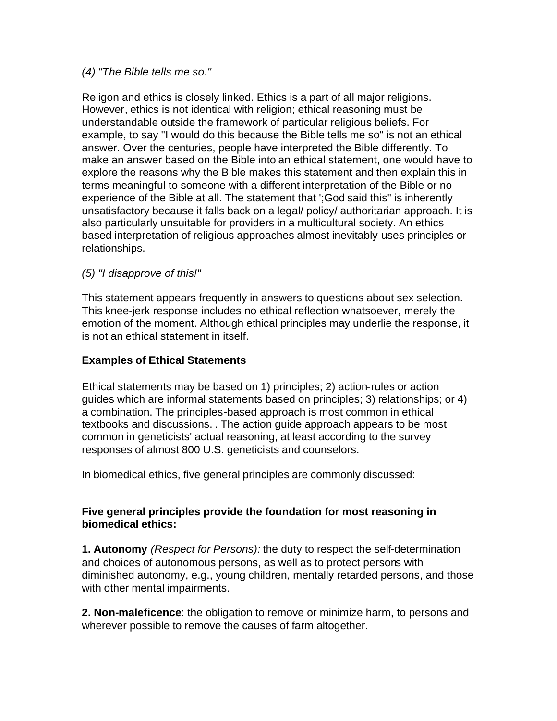## *(4) "The Bible tells me so."*

Religon and ethics is closely linked. Ethics is a part of all major religions. However, ethics is not identical with religion; ethical reasoning must be understandable outside the framework of particular religious beliefs. For example, to say "I would do this because the Bible tells me so" is not an ethical answer. Over the centuries, people have interpreted the Bible differently. To make an answer based on the Bible into an ethical statement, one would have to explore the reasons why the Bible makes this statement and then explain this in terms meaningful to someone with a different interpretation of the Bible or no experience of the Bible at all. The statement that ';God said this" is inherently unsatisfactory because it falls back on a legal/ policy/ authoritarian approach. It is also particularly unsuitable for providers in a multicultural society. An ethics based interpretation of religious approaches almost inevitably uses principles or relationships.

# *(5) "I disapprove of this!"*

This statement appears frequently in answers to questions about sex selection. This knee-jerk response includes no ethical reflection whatsoever, merely the emotion of the moment. Although ethical principles may underlie the response, it is not an ethical statement in itself.

## **Examples of Ethical Statements**

Ethical statements may be based on 1) principles; 2) action-rules or action guides which are informal statements based on principles; 3) relationships; or 4) a combination. The principles-based approach is most common in ethical textbooks and discussions. . The action guide approach appears to be most common in geneticists' actual reasoning, at least according to the survey responses of almost 800 U.S. geneticists and counselors.

In biomedical ethics, five general principles are commonly discussed:

## **Five general principles provide the foundation for most reasoning in biomedical ethics:**

**1. Autonomy** *(Respect for Persons):* the duty to respect the self-determination and choices of autonomous persons, as well as to protect persons with diminished autonomy, e.g., young children, mentally retarded persons, and those with other mental impairments.

**2. Non-maleficence**: the obligation to remove or minimize harm, to persons and wherever possible to remove the causes of farm altogether.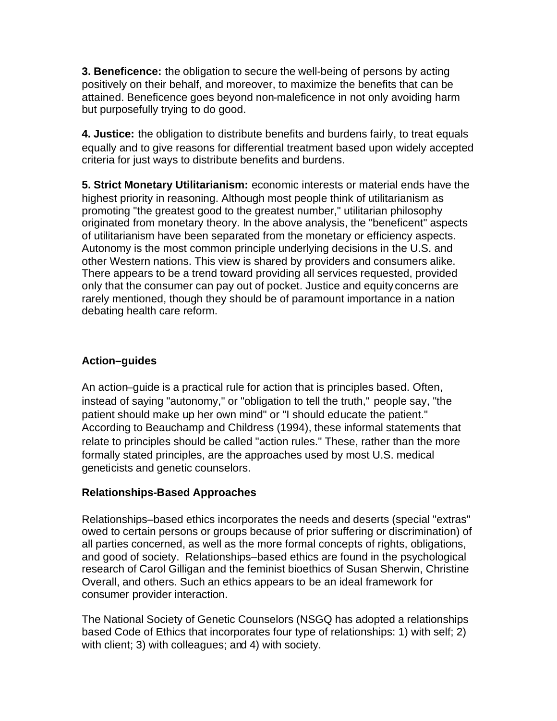**3. Beneficence:** the obligation to secure the well-being of persons by acting positively on their behalf, and moreover, to maximize the benefits that can be attained. Beneficence goes beyond non-maleficence in not only avoiding harm but purposefully trying to do good.

**4. Justice:** the obligation to distribute benefits and burdens fairly, to treat equals equally and to give reasons for differential treatment based upon widely accepted criteria for just ways to distribute benefits and burdens.

**5. Strict Monetary Utilitarianism:** economic interests or material ends have the highest priority in reasoning. Although most people think of utilitarianism as promoting "the greatest good to the greatest number," utilitarian philosophy originated from monetary theory. In the above analysis, the "beneficent" aspects of utilitarianism have been separated from the monetary or efficiency aspects. Autonomy is the most common principle underlying decisions in the U.S. and other Western nations. This view is shared by providers and consumers alike. There appears to be a trend toward providing all services requested, provided only that the consumer can pay out of pocket. Justice and equity concerns are rarely mentioned, though they should be of paramount importance in a nation debating health care reform.

# **Action–guides**

An action–guide is a practical rule for action that is principles based. Often, instead of saying "autonomy," or "obligation to tell the truth," people say, "the patient should make up her own mind" or "I should educate the patient." According to Beauchamp and Childress (1994), these informal statements that relate to principles should be called "action rules." These, rather than the more formally stated principles, are the approaches used by most U.S. medical geneticists and genetic counselors.

# **Relationships-Based Approaches**

Relationships–based ethics incorporates the needs and deserts (special "extras" owed to certain persons or groups because of prior suffering or discrimination) of all parties concerned, as well as the more formal concepts of rights, obligations, and good of society. Relationships–based ethics are found in the psychological research of Carol Gilligan and the feminist bioethics of Susan Sherwin, Christine Overall, and others. Such an ethics appears to be an ideal framework for consumer provider interaction.

The National Society of Genetic Counselors (NSGQ has adopted a relationships based Code of Ethics that incorporates four type of relationships: 1) with self; 2) with client; 3) with colleagues; and 4) with society.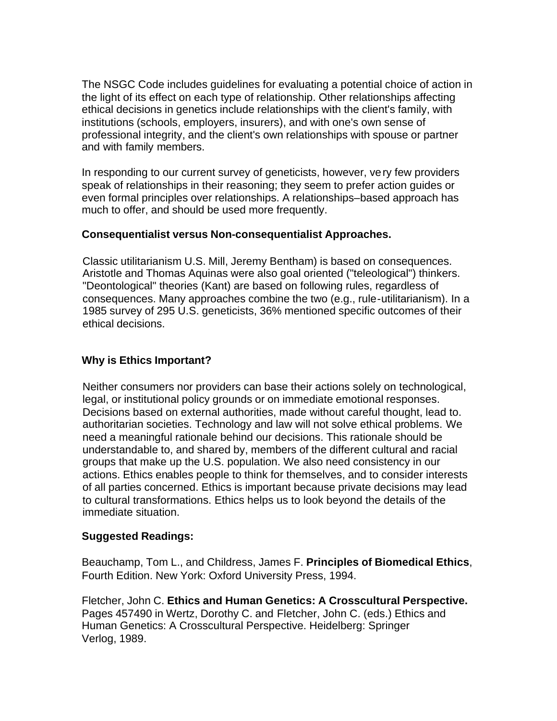The NSGC Code includes guidelines for evaluating a potential choice of action in the light of its effect on each type of relationship. Other relationships affecting ethical decisions in genetics include relationships with the client's family, with institutions (schools, employers, insurers), and with one's own sense of professional integrity, and the client's own relationships with spouse or partner and with family members.

In responding to our current survey of geneticists, however, very few providers speak of relationships in their reasoning; they seem to prefer action guides or even formal principles over relationships. A relationships–based approach has much to offer, and should be used more frequently.

## **Consequentialist versus Non-consequentialist Approaches.**

Classic utilitarianism U.S. Mill, Jeremy Bentham) is based on consequences. Aristotle and Thomas Aquinas were also goal oriented ("teleological") thinkers. "Deontological" theories (Kant) are based on following rules, regardless of consequences. Many approaches combine the two (e.g., rule-utilitarianism). In a 1985 survey of 295 U.S. geneticists, 36% mentioned specific outcomes of their ethical decisions.

## **Why is Ethics Important?**

Neither consumers nor providers can base their actions solely on technological, legal, or institutional policy grounds or on immediate emotional responses. Decisions based on external authorities, made without careful thought, lead to. authoritarian societies. Technology and law will not solve ethical problems. We need a meaningful rationale behind our decisions. This rationale should be understandable to, and shared by, members of the different cultural and racial groups that make up the U.S. population. We also need consistency in our actions. Ethics enables people to think for themselves, and to consider interests of all parties concerned. Ethics is important because private decisions may lead to cultural transformations. Ethics helps us to look beyond the details of the immediate situation.

## **Suggested Readings:**

Beauchamp, Tom L., and Childress, James F. **Principles of Biomedical Ethics**, Fourth Edition. New York: Oxford University Press, 1994.

Fletcher, John C. **Ethics and Human Genetics: A Crosscultural Perspective.** Pages 457490 in Wertz, Dorothy C. and Fletcher, John C. (eds.) Ethics and Human Genetics: A Crosscultural Perspective. Heidelberg: Springer Verlog, 1989.